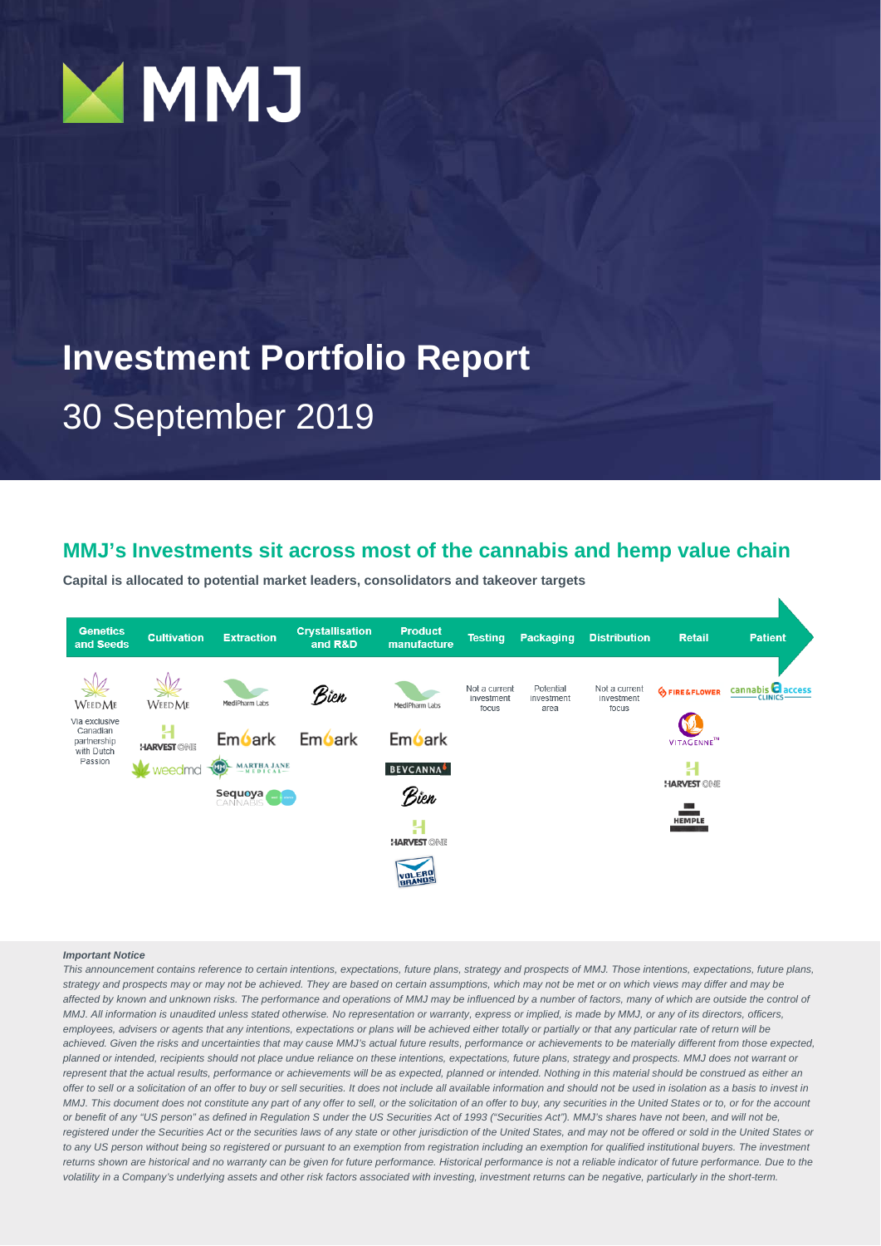

# **Investment Portfolio Report**

# 30 September 2019

### **MMJ's Investments sit across most of the cannabis and hemp value chain**

**Capital is allocated to potential market leaders, consolidators and takeover targets**



#### *Important Notice*

*This announcement contains reference to certain intentions, expectations, future plans, strategy and prospects of MMJ. Those intentions, expectations, future plans, strategy and prospects may or may not be achieved. They are based on certain assumptions, which may not be met or on which views may differ and may be*  affected by known and unknown risks. The performance and operations of MMJ may be influenced by a number of factors, many of which are outside the control of *MMJ. All information is unaudited unless stated otherwise. No representation or warranty, express or implied, is made by MMJ, or any of its directors, officers, employees, advisers or agents that any intentions, expectations or plans will be achieved either totally or partially or that any particular rate of return will be achieved. Given the risks and uncertainties that may cause MMJ's actual future results, performance or achievements to be materially different from those expected, planned or intended, recipients should not place undue reliance on these intentions, expectations, future plans, strategy and prospects. MMJ does not warrant or*  represent that the actual results, performance or achievements will be as expected, planned or intended. Nothing in this material should be construed as either an offer to sell or a solicitation of an offer to buy or sell securities. It does not include all available information and should not be used in isolation as a basis to invest in *MMJ. This document does not constitute any part of any offer to sell, or the solicitation of an offer to buy, any securities in the United States or to, or for the account* or benefit of any "US person" as defined in Regulation S under the US Securities Act of 1993 ("Securities Act"). MMJ's shares have not been, and will not be, registered under the Securities Act or the securities laws of any state or other jurisdiction of the United States, and may not be offered or sold in the United States or *to any US person without being so registered or pursuant to an exemption from registration including an exemption for qualified institutional buyers. The investment*  returns shown are historical and no warranty can be given for future performance. Historical performance is not a reliable indicator of future performance. Due to the *volatility in a Company's underlying assets and other risk factors associated with investing, investment returns can be negative, particularly in the short-term.*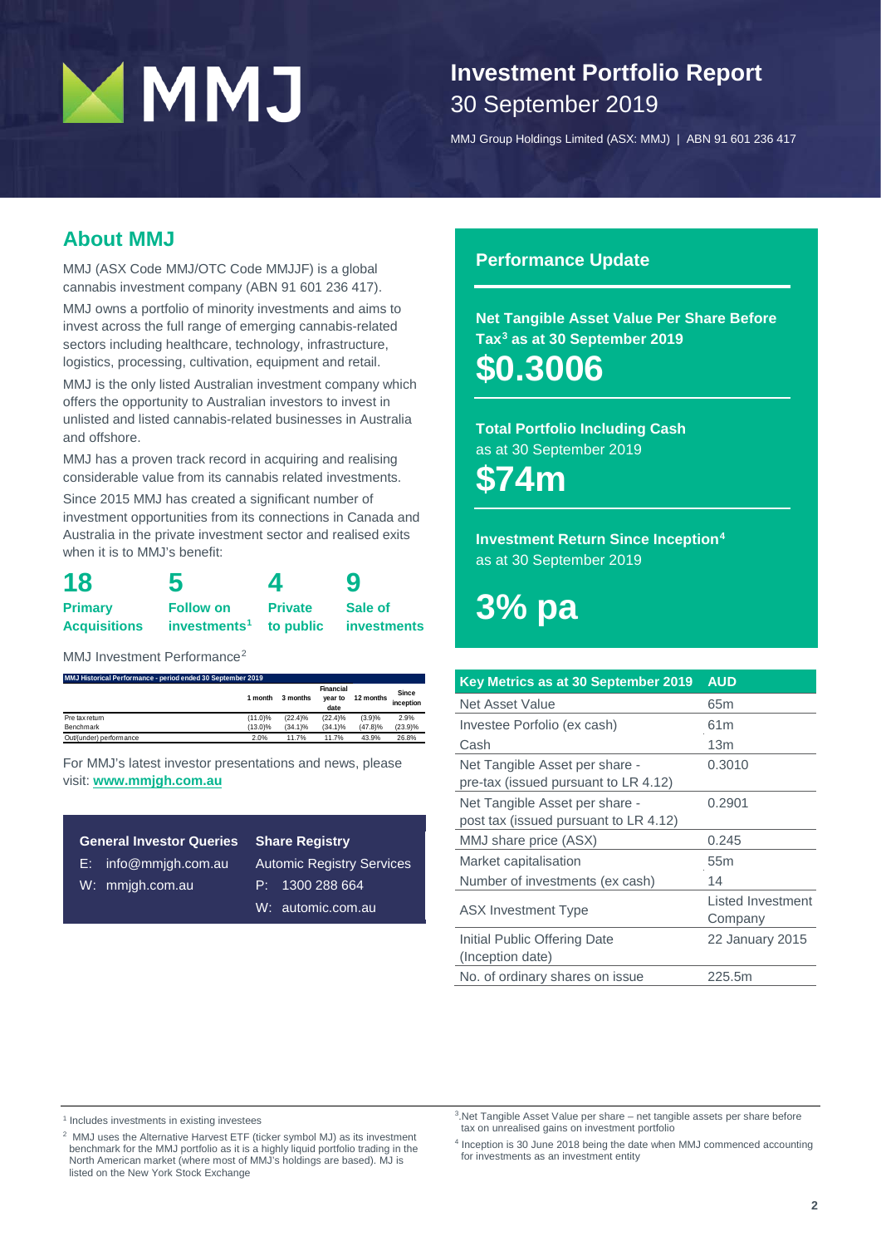# **Investment Portfolio Report** 30 September 2019

MMJ Group Holdings Limited (ASX: MMJ) | ABN 91 601 236 417

### **About MMJ**

MMJ (ASX Code MMJ/OTC Code MMJJF) is a global cannabis investment company (ABN 91 601 236 417).

MMJ owns a portfolio of minority investments and aims to invest across the full range of emerging cannabis-related sectors including healthcare, technology, infrastructure, logistics, processing, cultivation, equipment and retail.

MMJ is the only listed Australian investment company which offers the opportunity to Australian investors to invest in unlisted and listed cannabis-related businesses in Australia and offshore.

MMJ has a proven track record in acquiring and realising considerable value from its cannabis related investments.

Since 2015 MMJ has created a significant number of investment opportunities from its connections in Canada and Australia in the private investment sector and realised exits when it is to MMJ's benefit:

| 18                  | 5                                  | 4              | 9                  |  |  |
|---------------------|------------------------------------|----------------|--------------------|--|--|
| <b>Primary</b>      | <b>Follow on</b>                   | <b>Private</b> | Sale of            |  |  |
| <b>Acquisitions</b> | investments <sup>1</sup> to public |                | <b>investments</b> |  |  |

MMJ Investment Performance<sup>[2](#page-1-1)</sup>

**MMJ Historical Performance - period ended 30 September 2019**

|                         | 1 month    | 3 months   | Financial<br>vear to<br>date | 12 months | Since<br>inception |
|-------------------------|------------|------------|------------------------------|-----------|--------------------|
| Pre tax return          | $(11.0)\%$ | $(22.4)\%$ | $(22.4)\%$                   | (3.9)%    | 2.9%               |
| Benchmark               | $(13.0)\%$ | $(34.1)\%$ | $(34.1)\%$                   | (47.8)%   | (23.9)%            |
| Out/(under) performance | 2.0%       | 11.7%      | 11.7%                        | 43.9%     | 26.8%              |

For MMJ's latest investor presentations and news, please visit: **ww[w.mmjgh.com.au](http://www.mmjgh.com.au/)**

| <b>General Investor Queries</b> | <b>Share Registry</b>            |  |  |  |
|---------------------------------|----------------------------------|--|--|--|
| $E:$ info@mmigh.com.au          | <b>Automic Registry Services</b> |  |  |  |
| W: mmjgh.com.au                 | P: 1300288664                    |  |  |  |
|                                 | W: automic.com.au                |  |  |  |

### **Performance Update**

**Net Tangible Asset Value Per Share Before Ta[x3](#page-1-2) as at 30 September 2019**

**\$0.3006**

**Total Portfolio Including Cash** as at 30 September 2019

**\$74m**

**Investment Return Since Inception[4](#page-1-3)** as at 30 September 2019

**3% pa**

| Key Metrics as at 30 September 2019   | <b>AUD</b>        |
|---------------------------------------|-------------------|
| Net Asset Value                       | 65 <sub>m</sub>   |
| Investee Porfolio (ex cash)           | 61 <sub>m</sub>   |
| Cash                                  | 13 <sub>m</sub>   |
| Net Tangible Asset per share -        | 0.3010            |
| pre-tax (issued pursuant to LR 4.12)  |                   |
| Net Tangible Asset per share -        | 0.2901            |
| post tax (issued pursuant to LR 4.12) |                   |
| MMJ share price (ASX)                 | 0.245             |
| Market capitalisation                 | 55 <sub>m</sub>   |
| Number of investments (ex cash)       | 14                |
|                                       | Listed Investment |
| <b>ASX Investment Type</b>            | Company           |
| Initial Public Offering Date          | 22 January 2015   |
| (Inception date)                      |                   |
| No. of ordinary shares on issue       | 225.5m            |

<span id="page-1-2"></span><span id="page-1-0"></span><sup>1</sup> Includes investments in existing investees

<span id="page-1-3"></span><span id="page-1-1"></span><sup>2</sup> MMJ uses the Alternative Harvest ETF (ticker symbol MJ) as its investment benchmark for the MMJ portfolio as it is a highly liquid portfolio trading in the North American market (where most of MMJ's holdings are based). MJ is listed on the New York Stock Exchange

3.Net Tangible Asset Value per share – net tangible assets per share before tax on unrealised gains on investment portfolio

<sup>4</sup> Inception is 30 June 2018 being the date when MMJ commenced accounting for investments as an investment entity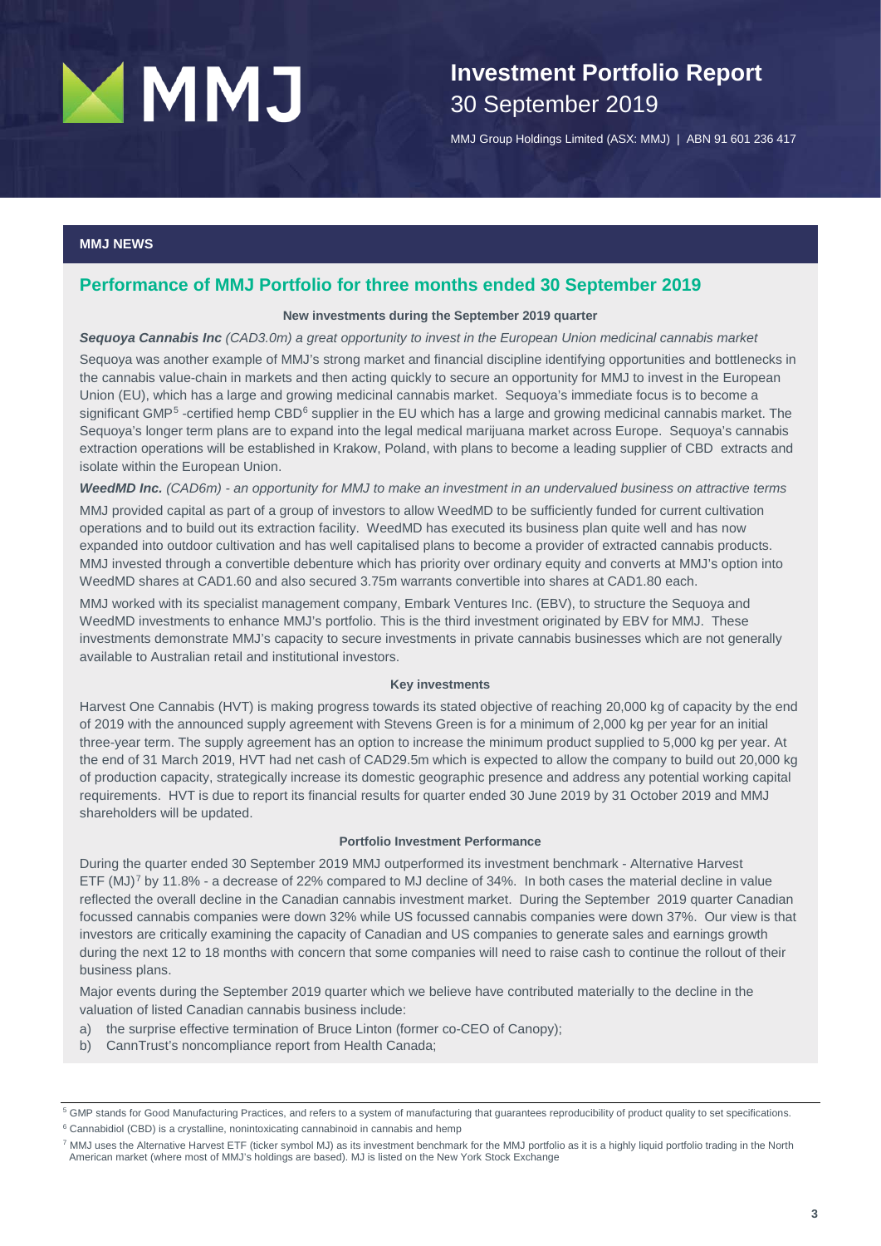# **Investment Portfolio Report** 30 September 2019

MMJ Group Holdings Limited (ASX: MMJ) | ABN 91 601 236 417

### **MMJ NEWS**

### **Performance of MMJ Portfolio for three months ended 30 September 2019**

### **New investments during the September 2019 quarter**

#### *Sequoya Cannabis Inc (CAD3.0m) a great opportunity to invest in the European Union medicinal cannabis market*

Sequoya was another example of MMJ's strong market and financial discipline identifying opportunities and bottlenecks in the cannabis value-chain in markets and then acting quickly to secure an opportunity for MMJ to invest in the European Union (EU), which has a large and growing medicinal cannabis market. Sequoya's immediate focus is to become a significant GMP<sup>[5](#page-2-0)</sup> -certified hemp CBD<sup>[6](#page-2-1)</sup> supplier in the EU which has a large and growing medicinal cannabis market. The Sequoya's longer term plans are to expand into the legal medical marijuana market across Europe. Sequoya's cannabis extraction operations will be established in Krakow, Poland, with plans to become a leading supplier of CBD extracts and isolate within the European Union.

### *WeedMD Inc. (CAD6m) - an opportunity for MMJ to make an investment in an undervalued business on attractive terms*

MMJ provided capital as part of a group of investors to allow WeedMD to be sufficiently funded for current cultivation operations and to build out its extraction facility. WeedMD has executed its business plan quite well and has now expanded into outdoor cultivation and has well capitalised plans to become a provider of extracted cannabis products. MMJ invested through a convertible debenture which has priority over ordinary equity and converts at MMJ's option into WeedMD shares at CAD1.60 and also secured 3.75m warrants convertible into shares at CAD1.80 each.

MMJ worked with its specialist management company, Embark Ventures Inc. (EBV), to structure the Sequoya and WeedMD investments to enhance MMJ's portfolio. This is the third investment originated by EBV for MMJ. These investments demonstrate MMJ's capacity to secure investments in private cannabis businesses which are not generally available to Australian retail and institutional investors.

#### **Key investments**

Harvest One Cannabis (HVT) is making progress towards its stated objective of reaching 20,000 kg of capacity by the end of 2019 with the announced supply agreement with Stevens Green is for a minimum of 2,000 kg per year for an initial three-year term. The supply agreement has an option to increase the minimum product supplied to 5,000 kg per year. At the end of 31 March 2019, HVT had net cash of CAD29.5m which is expected to allow the company to build out 20,000 kg of production capacity, strategically increase its domestic geographic presence and address any potential working capital requirements. HVT is due to report its financial results for quarter ended 30 June 2019 by 31 October 2019 and MMJ shareholders will be updated.

#### **Portfolio Investment Performance**

During the quarter ended 30 September 2019 MMJ outperformed its investment benchmark - Alternative Harvest ETF (MJ)<sup>[7](#page-2-2)</sup> by 11.8% - a decrease of 22% compared to MJ decline of 34%. In both cases the material decline in value reflected the overall decline in the Canadian cannabis investment market. During the September 2019 quarter Canadian focussed cannabis companies were down 32% while US focussed cannabis companies were down 37%. Our view is that investors are critically examining the capacity of Canadian and US companies to generate sales and earnings growth during the next 12 to 18 months with concern that some companies will need to raise cash to continue the rollout of their business plans.

Major events during the September 2019 quarter which we believe have contributed materially to the decline in the valuation of listed Canadian cannabis business include:

- a) the surprise effective termination of Bruce Linton (former co-CEO of Canopy);
- b) CannTrust's noncompliance report from Health Canada;

<span id="page-2-1"></span><sup>6</sup> Cannabidiol (CBD) is a crystalline, nonintoxicating cannabinoid in cannabis and hemp

<span id="page-2-0"></span><sup>5</sup> GMP stands for Good Manufacturing Practices, and refers to a system of manufacturing that guarantees reproducibility of product quality to set specifications.

<span id="page-2-2"></span><sup>7</sup> MMJ uses the Alternative Harvest ETF (ticker symbol MJ) as its investment benchmark for the MMJ portfolio as it is a highly liquid portfolio trading in the North American market (where most of MMJ's holdings are based). MJ is listed on the New York Stock Exchange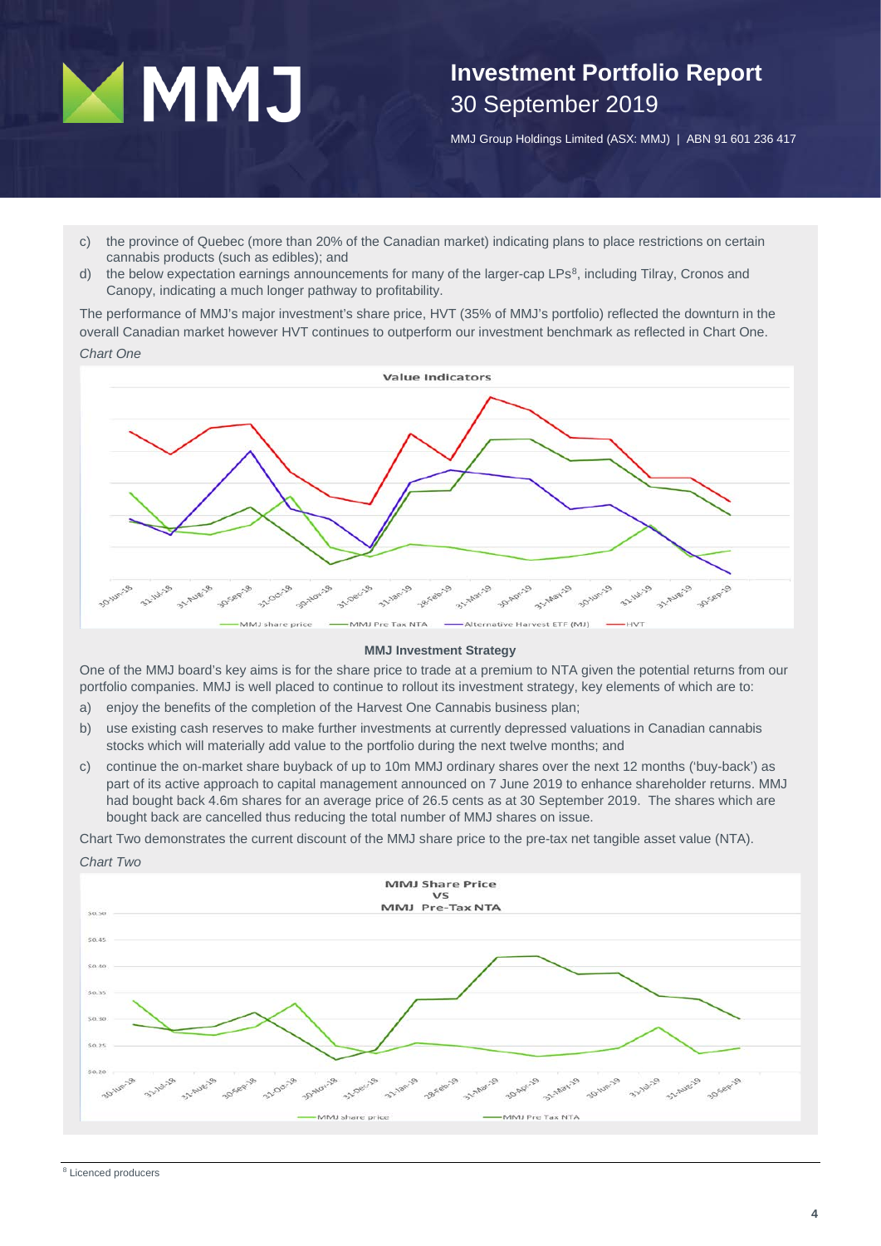# **Investment Portfolio Report** 30 September 2019

MMJ Group Holdings Limited (ASX: MMJ) | ABN 91 601 236 417

- c) the province of Quebec (more than 20% of the Canadian market) indicating plans to place restrictions on certain cannabis products (such as edibles); and
- d) the below expectation earnings announcements for many of the larger-cap LPs<sup>[8](#page-3-0)</sup>, including Tilray, Cronos and Canopy, indicating a much longer pathway to profitability.

The performance of MMJ's major investment's share price, HVT (35% of MMJ's portfolio) reflected the downturn in the overall Canadian market however HVT continues to outperform our investment benchmark as reflected in Chart One.

### *Chart One*



### **MMJ Investment Strategy**

One of the MMJ board's key aims is for the share price to trade at a premium to NTA given the potential returns from our portfolio companies. MMJ is well placed to continue to rollout its investment strategy, key elements of which are to:

- a) enjoy the benefits of the completion of the Harvest One Cannabis business plan;
- b) use existing cash reserves to make further investments at currently depressed valuations in Canadian cannabis stocks which will materially add value to the portfolio during the next twelve months; and
- c) continue the on-market share buyback of up to 10m MMJ ordinary shares over the next 12 months ('buy-back') as part of its active approach to capital management announced on 7 June 2019 to enhance shareholder returns. MMJ had bought back 4.6m shares for an average price of 26.5 cents as at 30 September 2019. The shares which are bought back are cancelled thus reducing the total number of MMJ shares on issue.

Chart Two demonstrates the current discount of the MMJ share price to the pre-tax net tangible asset value (NTA).



<span id="page-3-0"></span>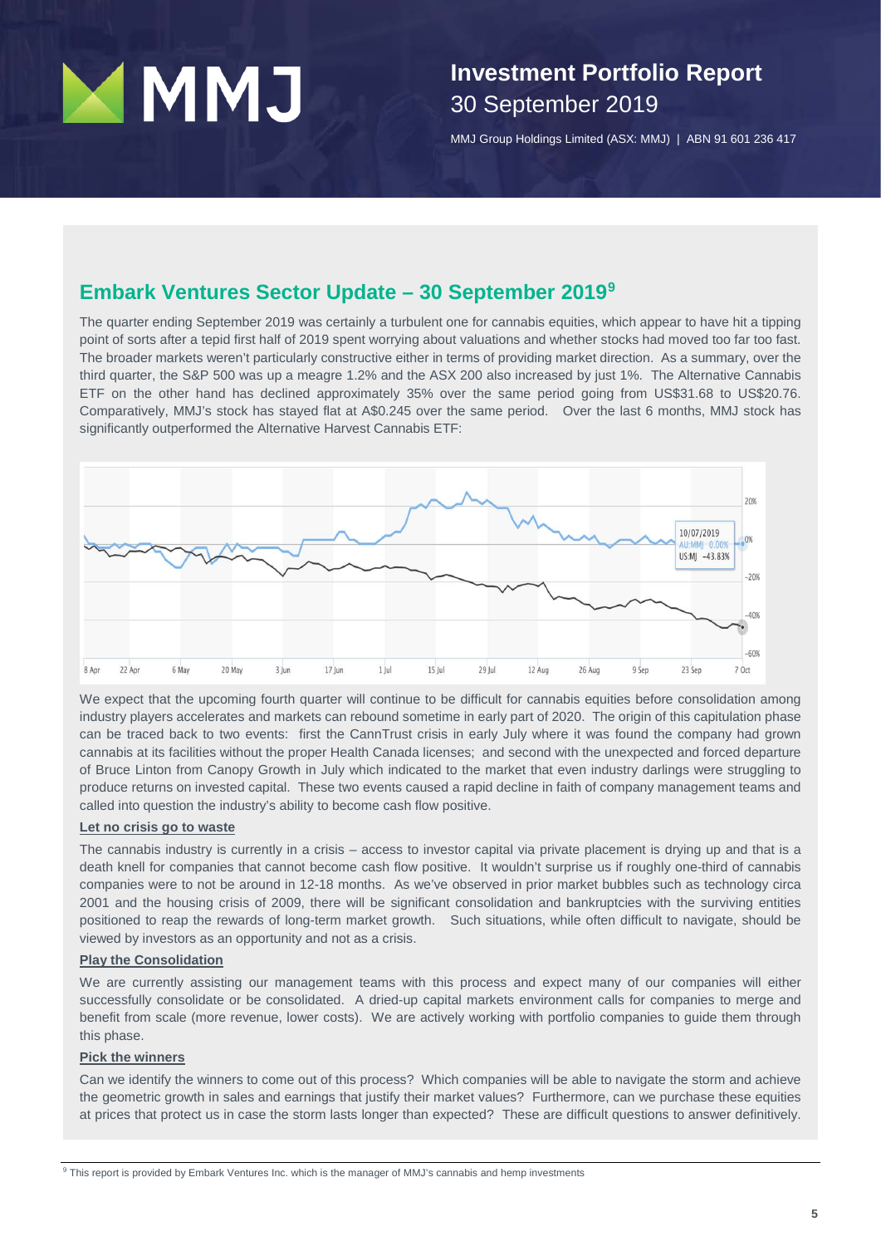# **Investment Portfolio Report** 30 September 2019

MMJ Group Holdings Limited (ASX: MMJ) | ABN 91 601 236 417

### **Embark Ventures Sector Update – 30 September 2019[9](#page-4-0)**

The quarter ending September 2019 was certainly a turbulent one for cannabis equities, which appear to have hit a tipping point of sorts after a tepid first half of 2019 spent worrying about valuations and whether stocks had moved too far too fast. The broader markets weren't particularly constructive either in terms of providing market direction. As a summary, over the third quarter, the S&P 500 was up a meagre 1.2% and the ASX 200 also increased by just 1%. The Alternative Cannabis ETF on the other hand has declined approximately 35% over the same period going from US\$31.68 to US\$20.76. Comparatively, MMJ's stock has stayed flat at A\$0.245 over the same period. Over the last 6 months, MMJ stock has significantly outperformed the Alternative Harvest Cannabis ETF:



We expect that the upcoming fourth quarter will continue to be difficult for cannabis equities before consolidation among industry players accelerates and markets can rebound sometime in early part of 2020. The origin of this capitulation phase can be traced back to two events: first the CannTrust crisis in early July where it was found the company had grown cannabis at its facilities without the proper Health Canada licenses; and second with the unexpected and forced departure of Bruce Linton from Canopy Growth in July which indicated to the market that even industry darlings were struggling to produce returns on invested capital. These two events caused a rapid decline in faith of company management teams and called into question the industry's ability to become cash flow positive.

### **Let no crisis go to waste**

The cannabis industry is currently in a crisis – access to investor capital via private placement is drying up and that is a death knell for companies that cannot become cash flow positive. It wouldn't surprise us if roughly one-third of cannabis companies were to not be around in 12-18 months. As we've observed in prior market bubbles such as technology circa 2001 and the housing crisis of 2009, there will be significant consolidation and bankruptcies with the surviving entities positioned to reap the rewards of long-term market growth. Such situations, while often difficult to navigate, should be viewed by investors as an opportunity and not as a crisis.

### **Play the Consolidation**

We are currently assisting our management teams with this process and expect many of our companies will either successfully consolidate or be consolidated. A dried-up capital markets environment calls for companies to merge and benefit from scale (more revenue, lower costs). We are actively working with portfolio companies to guide them through this phase.

### **Pick the winners**

<span id="page-4-0"></span>Can we identify the winners to come out of this process? Which companies will be able to navigate the storm and achieve the geometric growth in sales and earnings that justify their market values? Furthermore, can we purchase these equities at prices that protect us in case the storm lasts longer than expected? These are difficult questions to answer definitively.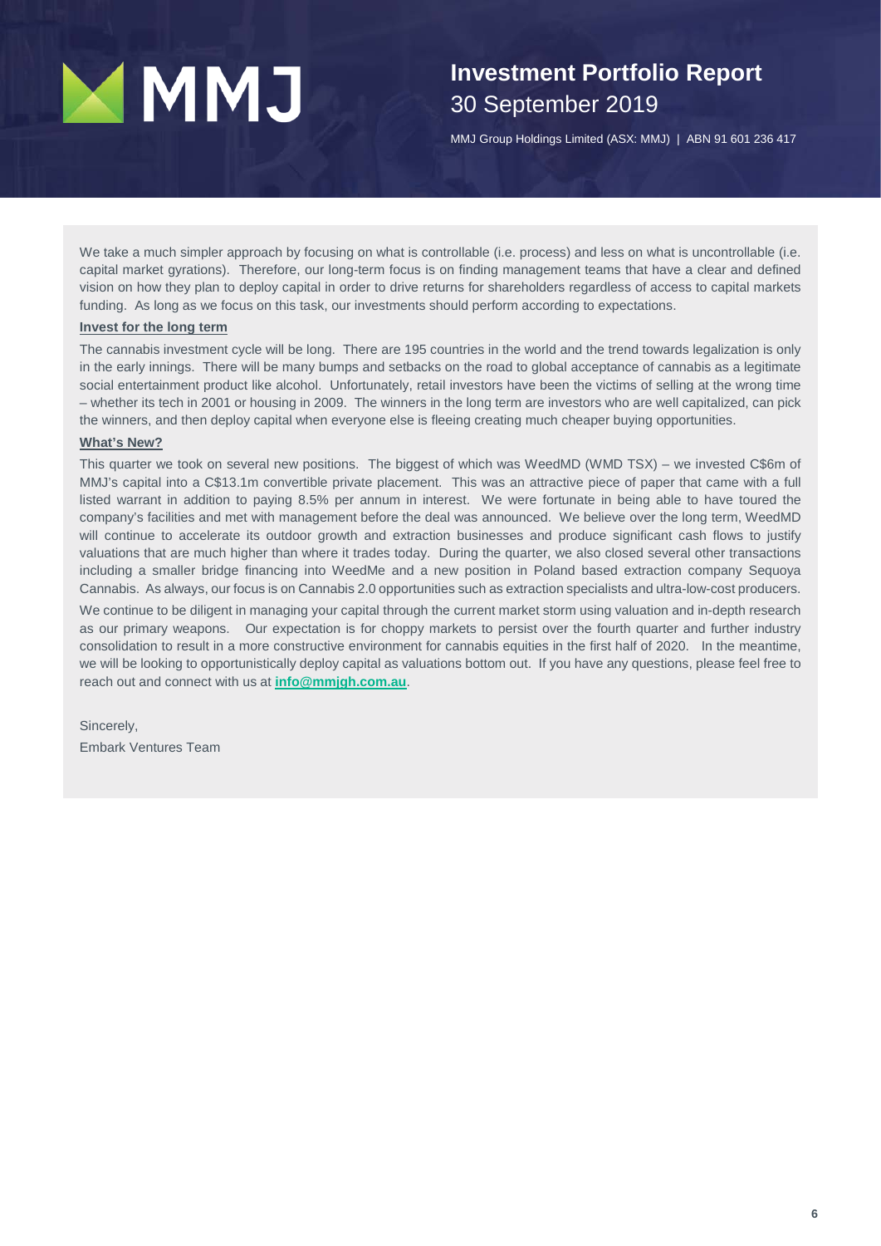# **Investment Portfolio Report** 30 September 2019

MMJ Group Holdings Limited (ASX: MMJ) | ABN 91 601 236 417

We take a much simpler approach by focusing on what is controllable (i.e. process) and less on what is uncontrollable (i.e. capital market gyrations). Therefore, our long-term focus is on finding management teams that have a clear and defined vision on how they plan to deploy capital in order to drive returns for shareholders regardless of access to capital markets funding. As long as we focus on this task, our investments should perform according to expectations.

### **Invest for the long term**

The cannabis investment cycle will be long. There are 195 countries in the world and the trend towards legalization is only in the early innings. There will be many bumps and setbacks on the road to global acceptance of cannabis as a legitimate social entertainment product like alcohol. Unfortunately, retail investors have been the victims of selling at the wrong time – whether its tech in 2001 or housing in 2009. The winners in the long term are investors who are well capitalized, can pick the winners, and then deploy capital when everyone else is fleeing creating much cheaper buying opportunities.

### **What's New?**

This quarter we took on several new positions. The biggest of which was WeedMD (WMD TSX) – we invested C\$6m of MMJ's capital into a C\$13.1m convertible private placement. This was an attractive piece of paper that came with a full listed warrant in addition to paying 8.5% per annum in interest. We were fortunate in being able to have toured the company's facilities and met with management before the deal was announced. We believe over the long term, WeedMD will continue to accelerate its outdoor growth and extraction businesses and produce significant cash flows to justify valuations that are much higher than where it trades today. During the quarter, we also closed several other transactions including a smaller bridge financing into WeedMe and a new position in Poland based extraction company Sequoya Cannabis. As always, our focus is on Cannabis 2.0 opportunities such as extraction specialists and ultra-low-cost producers.

We continue to be diligent in managing your capital through the current market storm using valuation and in-depth research as our primary weapons. Our expectation is for choppy markets to persist over the fourth quarter and further industry consolidation to result in a more constructive environment for cannabis equities in the first half of 2020. In the meantime, we will be looking to opportunistically deploy capital as valuations bottom out. If you have any questions, please feel free to reach out and connect with us at **[info@mmjgh.com.au](mailto:info@mmjgh.com.au)**.

Sincerely, Embark Ventures Team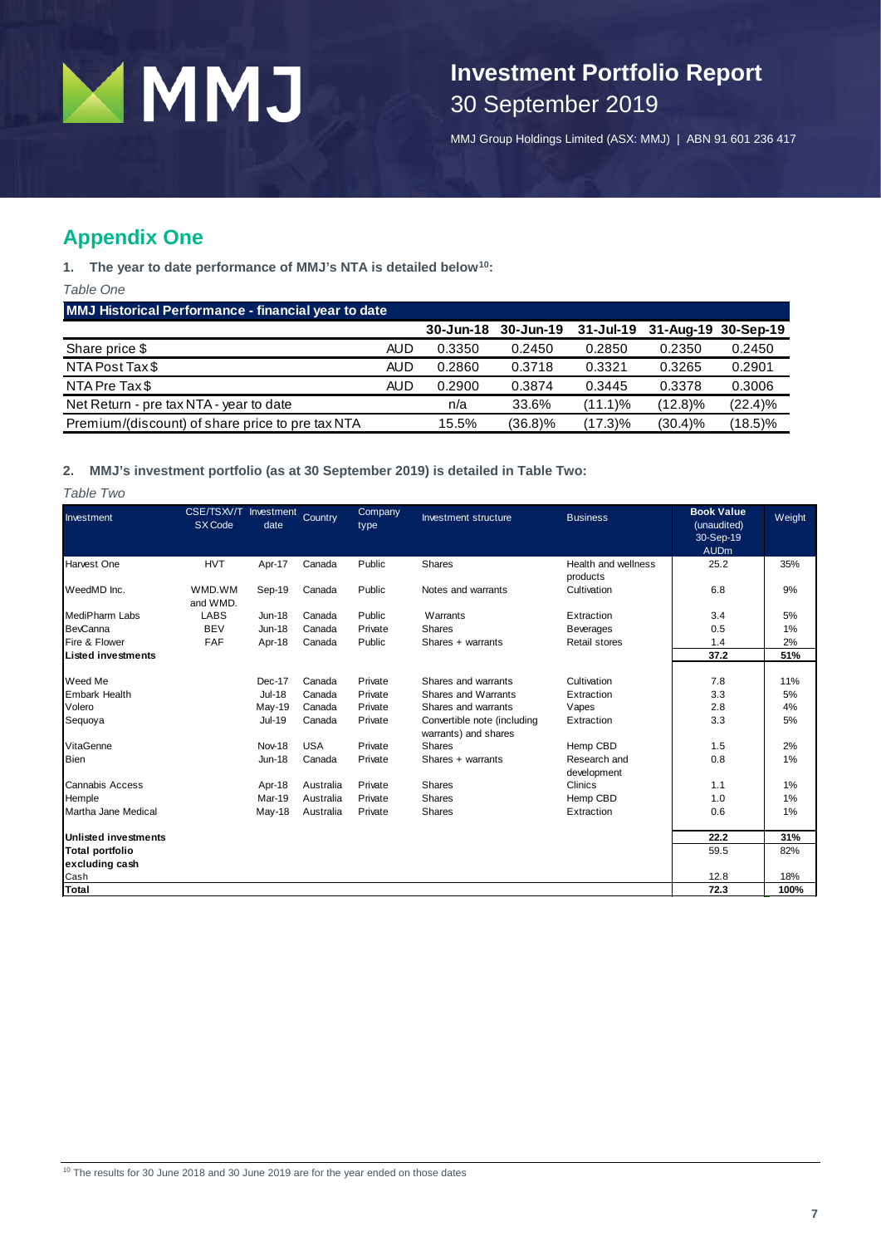

## **Investment Portfolio Report** 30 September 2019

MMJ Group Holdings Limited (ASX: MMJ) | ABN 91 601 236 417

### **Appendix One**

**1. The year to date performance of MMJ's NTA is detailed below[10](#page-6-0):**

*Table One*

**MMJ Historical Performance - financial year to date**

|                                                  |     | $30 - Jun-18$ | $30 - Jun-19$ | $31 -$ Jul-19 | 31-Aug-19 30-Sep-19 |            |
|--------------------------------------------------|-----|---------------|---------------|---------------|---------------------|------------|
| Share price \$                                   | AUD | 0.3350        | 0.2450        | 0.2850        | 0.2350              | 0.2450     |
| NTA Post Tax \$                                  | AUD | 0.2860        | 0.3718        | 0.3321        | 0.3265              | 0.2901     |
| NTA Pre Tax \$                                   | AUD | 0.2900        | 0.3874        | 0.3445        | 0.3378              | 0.3006     |
| Net Return - pre tax NTA - year to date          |     | n/a           | 33.6%         | $(11.1)\%$    | $(12.8)\%$          | $(22.4)\%$ |
| Premium/(discount) of share price to pre tax NTA |     | 15.5%         | (36.8)%       | (17.3)%       | $(30.4)\%$          | $(18.5)\%$ |

### **2. MMJ's investment portfolio (as at 30 September 2019) is detailed in Table Two:**

*Table Two*

<span id="page-6-0"></span>

| Investment                  | CSE/TSXV/T Investment<br>SX Code | date          | Country    | Company<br>type | Investment structure                                | <b>Business</b>                 | <b>Book Value</b><br>(unaudited)<br>30-Sep-19<br><b>AUDm</b> | Weight |
|-----------------------------|----------------------------------|---------------|------------|-----------------|-----------------------------------------------------|---------------------------------|--------------------------------------------------------------|--------|
| Harvest One                 | <b>HVT</b>                       | Apr-17        | Canada     | Public          | Shares                                              | Health and wellness<br>products | 25.2                                                         | 35%    |
| WeedMD Inc.                 | WMD.WM<br>and WMD.               | Sep-19        | Canada     | Public          | Notes and warrants                                  | Cultivation                     | 6.8                                                          | 9%     |
| <b>MediPharm Labs</b>       | <b>LABS</b>                      | <b>Jun-18</b> | Canada     | Public          | Warrants                                            | Extraction                      | 3.4                                                          | 5%     |
| <b>BevCanna</b>             | <b>BEV</b>                       | <b>Jun-18</b> | Canada     | Private         | <b>Shares</b>                                       | <b>Beverages</b>                | 0.5                                                          | 1%     |
| Fire & Flower               | <b>FAF</b>                       | Apr-18        | Canada     | Public          | Shares + warrants                                   | <b>Retail stores</b>            | 1.4                                                          | 2%     |
| <b>Listed investments</b>   |                                  |               |            |                 |                                                     |                                 | 37.2                                                         | 51%    |
| Weed Me                     |                                  | Dec-17        | Canada     | Private         | Shares and warrants                                 | Cultivation                     | 7.8                                                          | 11%    |
| <b>Embark Health</b>        |                                  | <b>Jul-18</b> | Canada     | Private         | Shares and Warrants                                 | Extraction                      | 3.3                                                          | 5%     |
| Volero                      |                                  |               |            | Private         | Shares and warrants                                 |                                 |                                                              |        |
|                             |                                  | May-19        | Canada     |                 |                                                     | Vapes                           | 2.8                                                          | 4%     |
| Sequoya                     |                                  | <b>Jul-19</b> | Canada     | Private         | Convertible note (including<br>warrants) and shares | Extraction                      | 3.3                                                          | 5%     |
| VitaGenne                   |                                  | <b>Nov-18</b> | <b>USA</b> | Private         | <b>Shares</b>                                       | Hemp CBD                        | 1.5                                                          | 2%     |
| <b>Bien</b>                 |                                  | <b>Jun-18</b> | Canada     | Private         | Shares + warrants                                   | Research and<br>development     | 0.8                                                          | 1%     |
| Cannabis Access             |                                  | Apr-18        | Australia  | Private         | <b>Shares</b>                                       | Clinics                         | 1.1                                                          | 1%     |
| Hemple                      |                                  | Mar-19        | Australia  | Private         | <b>Shares</b>                                       | Hemp CBD                        | 1.0                                                          | 1%     |
| Martha Jane Medical         |                                  | May-18        | Australia  | Private         | <b>Shares</b>                                       | Extraction                      | 0.6                                                          | 1%     |
| <b>Unlisted investments</b> |                                  |               |            |                 |                                                     |                                 | 22.2                                                         | 31%    |
| <b>Total portfolio</b>      |                                  |               |            |                 |                                                     |                                 | 59.5                                                         | 82%    |
| excluding cash              |                                  |               |            |                 |                                                     |                                 |                                                              |        |
| Cash                        |                                  |               |            |                 |                                                     |                                 | 12.8                                                         | 18%    |
| Total                       |                                  |               |            |                 |                                                     |                                 | 72.3                                                         | 100%   |